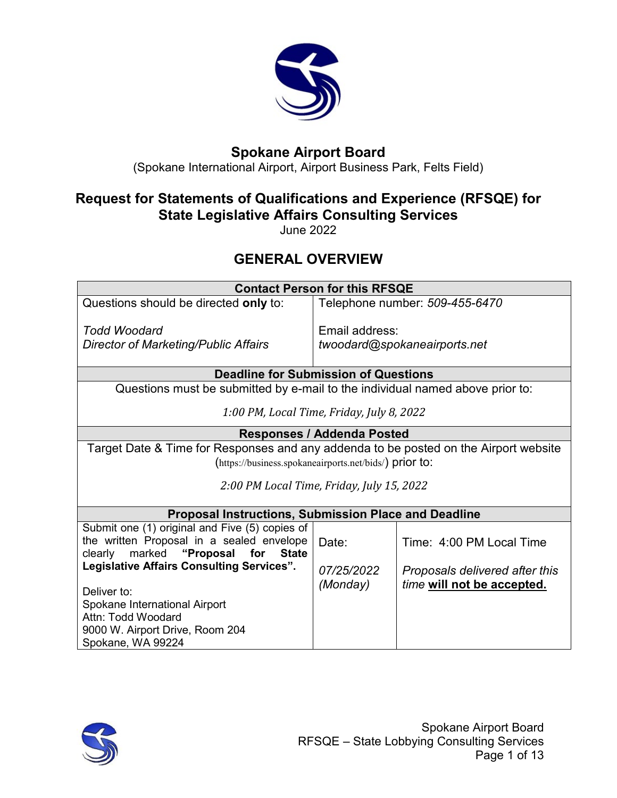

# **Spokane Airport Board**

(Spokane International Airport, Airport Business Park, Felts Field)

## **Request for Statements of Qualifications and Experience (RFSQE) for State Legislative Affairs Consulting Services**

June 2022

# **GENERAL OVERVIEW**

| <b>Contact Person for this RFSQE</b>                                                 |                                   |                                |  |
|--------------------------------------------------------------------------------------|-----------------------------------|--------------------------------|--|
| Questions should be directed only to:                                                |                                   | Telephone number: 509-455-6470 |  |
|                                                                                      |                                   |                                |  |
| Todd Woodard                                                                         | Email address:                    |                                |  |
| Director of Marketing/Public Affairs                                                 |                                   | twoodard@spokaneairports.net   |  |
|                                                                                      |                                   |                                |  |
| <b>Deadline for Submission of Questions</b>                                          |                                   |                                |  |
| Questions must be submitted by e-mail to the individual named above prior to:        |                                   |                                |  |
| 1:00 PM, Local Time, Friday, July 8, 2022                                            |                                   |                                |  |
|                                                                                      |                                   |                                |  |
|                                                                                      | <b>Responses / Addenda Posted</b> |                                |  |
| Target Date & Time for Responses and any addenda to be posted on the Airport website |                                   |                                |  |
| (https://business.spokaneairports.net/bids/) prior to:                               |                                   |                                |  |
|                                                                                      |                                   |                                |  |
| 2:00 PM Local Time, Friday, July 15, 2022                                            |                                   |                                |  |
| <b>Proposal Instructions, Submission Place and Deadline</b>                          |                                   |                                |  |
| Submit one (1) original and Five (5) copies of                                       |                                   |                                |  |
| the written Proposal in a sealed envelope                                            | Date:                             | Time: 4:00 PM Local Time       |  |
| clearly<br>marked "Proposal<br>for<br><b>State</b>                                   |                                   |                                |  |
| <b>Legislative Affairs Consulting Services".</b>                                     | 07/25/2022                        | Proposals delivered after this |  |
|                                                                                      | (Monday)                          | time will not be accepted.     |  |
| Deliver to:                                                                          |                                   |                                |  |
| Spokane International Airport                                                        |                                   |                                |  |
| Attn: Todd Woodard                                                                   |                                   |                                |  |
| 9000 W. Airport Drive, Room 204                                                      |                                   |                                |  |
| Spokane, WA 99224                                                                    |                                   |                                |  |

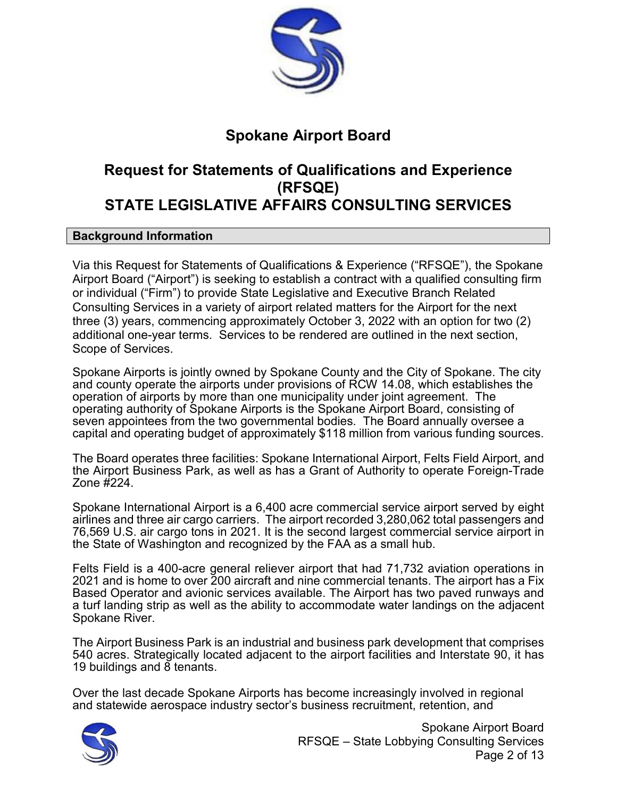

## **Spokane Airport Board**

## **Request for Statements of Qualifications and Experience (RFSQE) STATE LEGISLATIVE AFFAIRS CONSULTING SERVICES**

#### **Background Information**

Via this Request for Statements of Qualifications & Experience ("RFSQE"), the Spokane Airport Board ("Airport") is seeking to establish a contract with a qualified consulting firm or individual ("Firm") to provide State Legislative and Executive Branch Related Consulting Services in a variety of airport related matters for the Airport for the next three (3) years, commencing approximately October 3, 2022 with an option for two (2) additional one-year terms. Services to be rendered are outlined in the next section, Scope of Services.

Spokane Airports is jointly owned by Spokane County and the City of Spokane. The city and county operate the airports under provisions of RCW 14.08, which establishes the operation of airports by more than one municipality under joint agreement. The operating authority of Spokane Airports is the Spokane Airport Board, consisting of seven appointees from the two governmental bodies. The Board annually oversee a capital and operating budget of approximately \$118 million from various funding sources.

The Board operates three facilities: Spokane International Airport, Felts Field Airport, and the Airport Business Park, as well as has a Grant of Authority to operate Foreign-Trade Zone #224.

Spokane International Airport is a 6,400 acre commercial service airport served by eight airlines and three air cargo carriers. The airport recorded 3,280,062 total passengers and 76,569 U.S. air cargo tons in 2021. It is the second largest commercial service airport in the State of Washington and recognized by the FAA as a small hub.

Felts Field is a 400-acre general reliever airport that had 71,732 aviation operations in 2021 and is home to over 200 aircraft and nine commercial tenants. The airport has a Fix Based Operator and avionic services available. The Airport has two paved runways and a turf landing strip as well as the ability to accommodate water landings on the adjacent Spokane River.

The Airport Business Park is an industrial and business park development that comprises 540 acres. Strategically located adjacent to the airport facilities and Interstate 90, it has 19 buildings and  $\overline{8}$  tenants.

Over the last decade Spokane Airports has become increasingly involved in regional and statewide aerospace industry sector's business recruitment, retention, and



Spokane Airport Board RFSQE – State Lobbying Consulting Services Page 2 of 13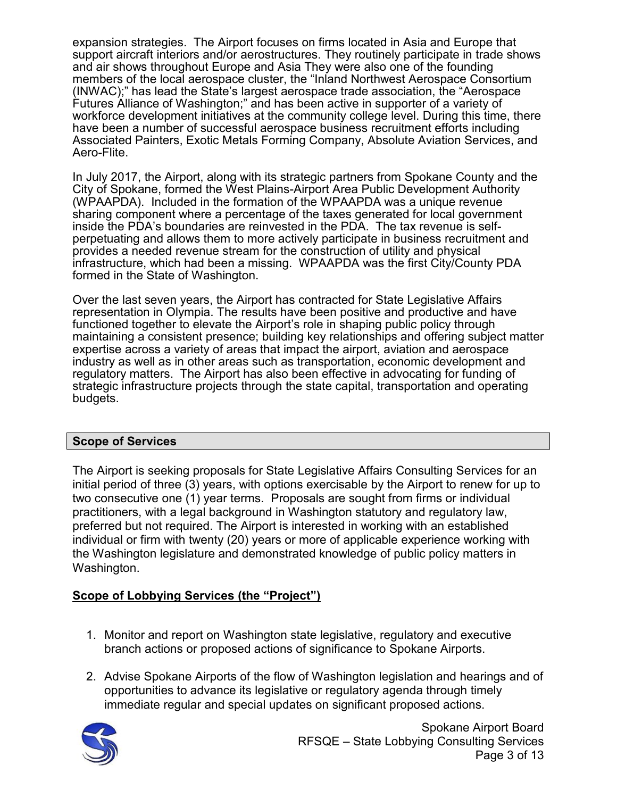expansion strategies. The Airport focuses on firms located in Asia and Europe that support aircraft interiors and/or aerostructures. They routinely participate in trade shows and air shows throughout Europe and Asia They were also one of the founding members of the local aerospace cluster, the "Inland Northwest Aerospace Consortium (INWAC);" has lead the State's largest aerospace trade association, the "Aerospace Futures Alliance of Washington;" and has been active in supporter of a variety of workforce development initiatives at the community college level. During this time, there have been a number of successful aerospace business recruitment efforts including Associated Painters, Exotic Metals Forming Company, Absolute Aviation Services, and Aero-Flite.

In July 2017, the Airport, along with its strategic partners from Spokane County and the City of Spokane, formed the West Plains-Airport Area Public Development Authority (WPAAPDA). Included in the formation of the WPAAPDA was a unique revenue sharing component where a percentage of the taxes generated for local government inside the PDA's boundaries are reinvested in the PDA. The tax revenue is selfperpetuating and allows them to more actively participate in business recruitment and provides a needed revenue stream for the construction of utility and physical infrastructure, which had been a missing. WPAAPDA was the first City/County PDA formed in the State of Washington.

Over the last seven years, the Airport has contracted for State Legislative Affairs representation in Olympia. The results have been positive and productive and have functioned together to elevate the Airport's role in shaping public policy through maintaining a consistent presence; building key relationships and offering subject matter expertise across a variety of areas that impact the airport, aviation and aerospace industry as well as in other areas such as transportation, economic development and regulatory matters. The Airport has also been effective in advocating for funding of strategic infrastructure projects through the state capital, transportation and operating budgets.

#### **Scope of Services**

The Airport is seeking proposals for State Legislative Affairs Consulting Services for an initial period of three (3) years, with options exercisable by the Airport to renew for up to two consecutive one (1) year terms. Proposals are sought from firms or individual practitioners, with a legal background in Washington statutory and regulatory law, preferred but not required. The Airport is interested in working with an established individual or firm with twenty (20) years or more of applicable experience working with the Washington legislature and demonstrated knowledge of public policy matters in Washington.

## **Scope of Lobbying Services (the "Project")**

- 1. Monitor and report on Washington state legislative, regulatory and executive branch actions or proposed actions of significance to Spokane Airports.
- 2. Advise Spokane Airports of the flow of Washington legislation and hearings and of opportunities to advance its legislative or regulatory agenda through timely immediate regular and special updates on significant proposed actions.



Spokane Airport Board RFSQE – State Lobbying Consulting Services Page 3 of 13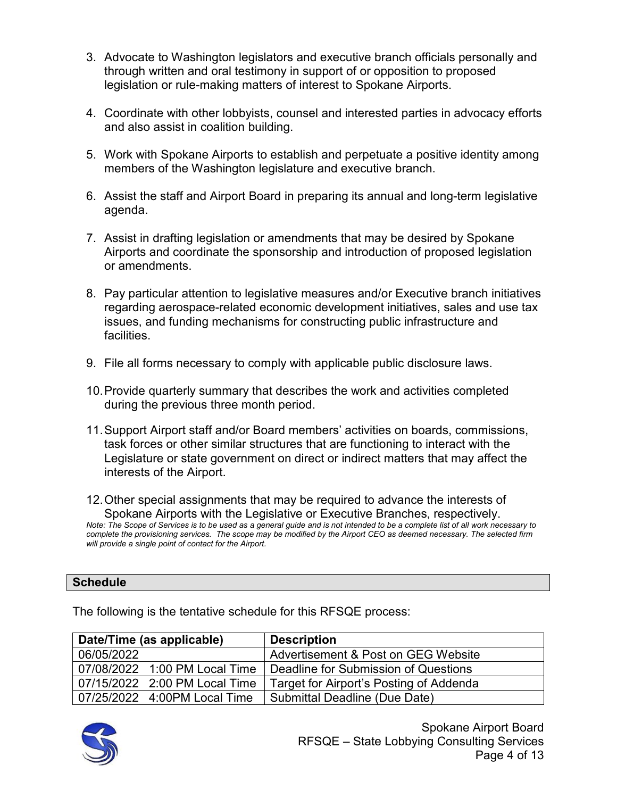- 3. Advocate to Washington legislators and executive branch officials personally and through written and oral testimony in support of or opposition to proposed legislation or rule-making matters of interest to Spokane Airports.
- 4. Coordinate with other lobbyists, counsel and interested parties in advocacy efforts and also assist in coalition building.
- 5. Work with Spokane Airports to establish and perpetuate a positive identity among members of the Washington legislature and executive branch.
- 6. Assist the staff and Airport Board in preparing its annual and long-term legislative agenda.
- 7. Assist in drafting legislation or amendments that may be desired by Spokane Airports and coordinate the sponsorship and introduction of proposed legislation or amendments.
- 8. Pay particular attention to legislative measures and/or Executive branch initiatives regarding aerospace-related economic development initiatives, sales and use tax issues, and funding mechanisms for constructing public infrastructure and facilities.
- 9. File all forms necessary to comply with applicable public disclosure laws.
- 10.Provide quarterly summary that describes the work and activities completed during the previous three month period.
- 11.Support Airport staff and/or Board members' activities on boards, commissions, task forces or other similar structures that are functioning to interact with the Legislature or state government on direct or indirect matters that may affect the interests of the Airport.

12.Other special assignments that may be required to advance the interests of Spokane Airports with the Legislative or Executive Branches, respectively. *Note: The Scope of Services is to be used as a general guide and is not intended to be a complete list of all work necessary to complete the provisioning services. The scope may be modified by the Airport CEO as deemed necessary. The selected firm will provide a single point of contact for the Airport.*

### **Schedule**

|            | Date/Time (as applicable)     | <b>Description</b>                      |
|------------|-------------------------------|-----------------------------------------|
| 06/05/2022 |                               | Advertisement & Post on GEG Website     |
|            | 07/08/2022 1:00 PM Local Time | Deadline for Submission of Questions    |
|            | 07/15/2022 2:00 PM Local Time | Target for Airport's Posting of Addenda |
|            | 07/25/2022 4:00PM Local Time  | Submittal Deadline (Due Date)           |

The following is the tentative schedule for this RFSQE process:

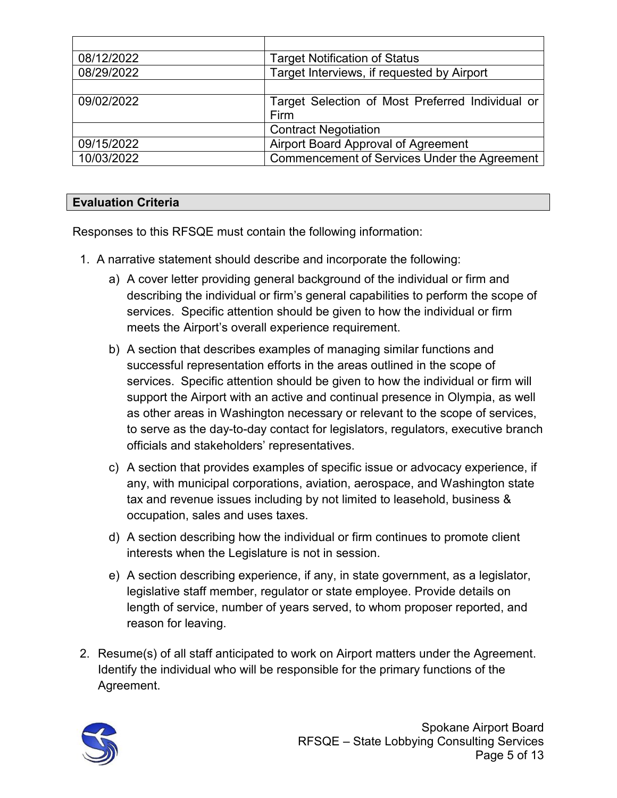| 08/12/2022 | <b>Target Notification of Status</b>             |
|------------|--------------------------------------------------|
| 08/29/2022 | Target Interviews, if requested by Airport       |
|            |                                                  |
| 09/02/2022 | Target Selection of Most Preferred Individual or |
|            | Firm                                             |
|            | <b>Contract Negotiation</b>                      |
| 09/15/2022 | Airport Board Approval of Agreement              |
| 10/03/2022 | Commencement of Services Under the Agreement     |

### **Evaluation Criteria**

Responses to this RFSQE must contain the following information:

- 1. A narrative statement should describe and incorporate the following:
	- a) A cover letter providing general background of the individual or firm and describing the individual or firm's general capabilities to perform the scope of services. Specific attention should be given to how the individual or firm meets the Airport's overall experience requirement.
	- b) A section that describes examples of managing similar functions and successful representation efforts in the areas outlined in the scope of services. Specific attention should be given to how the individual or firm will support the Airport with an active and continual presence in Olympia, as well as other areas in Washington necessary or relevant to the scope of services, to serve as the day-to-day contact for legislators, regulators, executive branch officials and stakeholders' representatives.
	- c) A section that provides examples of specific issue or advocacy experience, if any, with municipal corporations, aviation, aerospace, and Washington state tax and revenue issues including by not limited to leasehold, business & occupation, sales and uses taxes.
	- d) A section describing how the individual or firm continues to promote client interests when the Legislature is not in session.
	- e) A section describing experience, if any, in state government, as a legislator, legislative staff member, regulator or state employee. Provide details on length of service, number of years served, to whom proposer reported, and reason for leaving.
- 2. Resume(s) of all staff anticipated to work on Airport matters under the Agreement. Identify the individual who will be responsible for the primary functions of the Agreement.

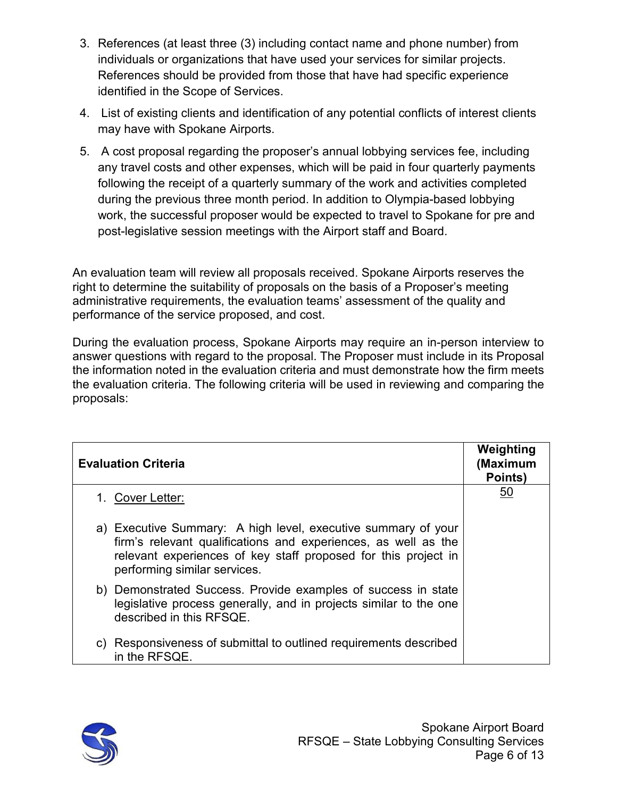- 3. References (at least three (3) including contact name and phone number) from individuals or organizations that have used your services for similar projects. References should be provided from those that have had specific experience identified in the Scope of Services.
- 4. List of existing clients and identification of any potential conflicts of interest clients may have with Spokane Airports.
- 5. A cost proposal regarding the proposer's annual lobbying services fee, including any travel costs and other expenses, which will be paid in four quarterly payments following the receipt of a quarterly summary of the work and activities completed during the previous three month period. In addition to Olympia-based lobbying work, the successful proposer would be expected to travel to Spokane for pre and post-legislative session meetings with the Airport staff and Board.

An evaluation team will review all proposals received. Spokane Airports reserves the right to determine the suitability of proposals on the basis of a Proposer's meeting administrative requirements, the evaluation teams' assessment of the quality and performance of the service proposed, and cost.

During the evaluation process, Spokane Airports may require an in-person interview to answer questions with regard to the proposal. The Proposer must include in its Proposal the information noted in the evaluation criteria and must demonstrate how the firm meets the evaluation criteria. The following criteria will be used in reviewing and comparing the proposals:

| <b>Evaluation Criteria</b>                                                                                                                                                                                                        | Weighting<br>(Maximum<br>Points) |
|-----------------------------------------------------------------------------------------------------------------------------------------------------------------------------------------------------------------------------------|----------------------------------|
| 1. Cover Letter:                                                                                                                                                                                                                  | <u>50</u>                        |
| a) Executive Summary: A high level, executive summary of your<br>firm's relevant qualifications and experiences, as well as the<br>relevant experiences of key staff proposed for this project in<br>performing similar services. |                                  |
| b) Demonstrated Success. Provide examples of success in state<br>legislative process generally, and in projects similar to the one<br>described in this RFSQE.                                                                    |                                  |
| c) Responsiveness of submittal to outlined requirements described<br>in the RFSQE.                                                                                                                                                |                                  |

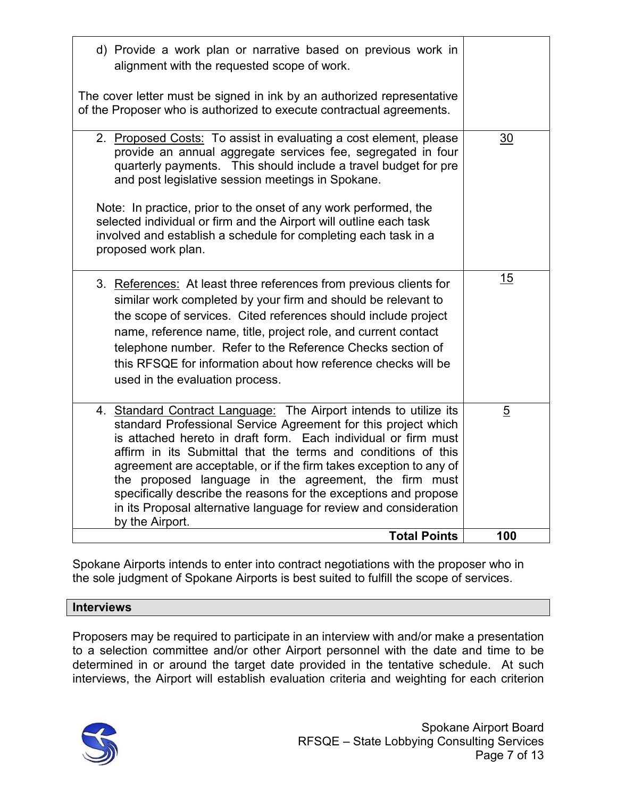| d) Provide a work plan or narrative based on previous work in<br>alignment with the requested scope of work.<br>The cover letter must be signed in ink by an authorized representative<br>of the Proposer who is authorized to execute contractual agreements.                                                                                                                                                                                                                                                                                                    |                |
|-------------------------------------------------------------------------------------------------------------------------------------------------------------------------------------------------------------------------------------------------------------------------------------------------------------------------------------------------------------------------------------------------------------------------------------------------------------------------------------------------------------------------------------------------------------------|----------------|
| 2. Proposed Costs: To assist in evaluating a cost element, please<br>provide an annual aggregate services fee, segregated in four<br>quarterly payments. This should include a travel budget for pre<br>and post legislative session meetings in Spokane.<br>Note: In practice, prior to the onset of any work performed, the<br>selected individual or firm and the Airport will outline each task<br>involved and establish a schedule for completing each task in a<br>proposed work plan.                                                                     | 30             |
| 3. References: At least three references from previous clients for<br>similar work completed by your firm and should be relevant to<br>the scope of services. Cited references should include project<br>name, reference name, title, project role, and current contact<br>telephone number. Refer to the Reference Checks section of<br>this RFSQE for information about how reference checks will be<br>used in the evaluation process.                                                                                                                         | 15             |
| 4. Standard Contract Language: The Airport intends to utilize its<br>standard Professional Service Agreement for this project which<br>is attached hereto in draft form. Each individual or firm must<br>affirm in its Submittal that the terms and conditions of this<br>agreement are acceptable, or if the firm takes exception to any of<br>the proposed language in the agreement, the firm must<br>specifically describe the reasons for the exceptions and propose<br>in its Proposal alternative language for review and consideration<br>by the Airport. | $\overline{5}$ |
| <b>Total Points</b>                                                                                                                                                                                                                                                                                                                                                                                                                                                                                                                                               | 100            |

Spokane Airports intends to enter into contract negotiations with the proposer who in the sole judgment of Spokane Airports is best suited to fulfill the scope of services.

#### **Interviews**

Proposers may be required to participate in an interview with and/or make a presentation to a selection committee and/or other Airport personnel with the date and time to be determined in or around the target date provided in the tentative schedule. At such interviews, the Airport will establish evaluation criteria and weighting for each criterion

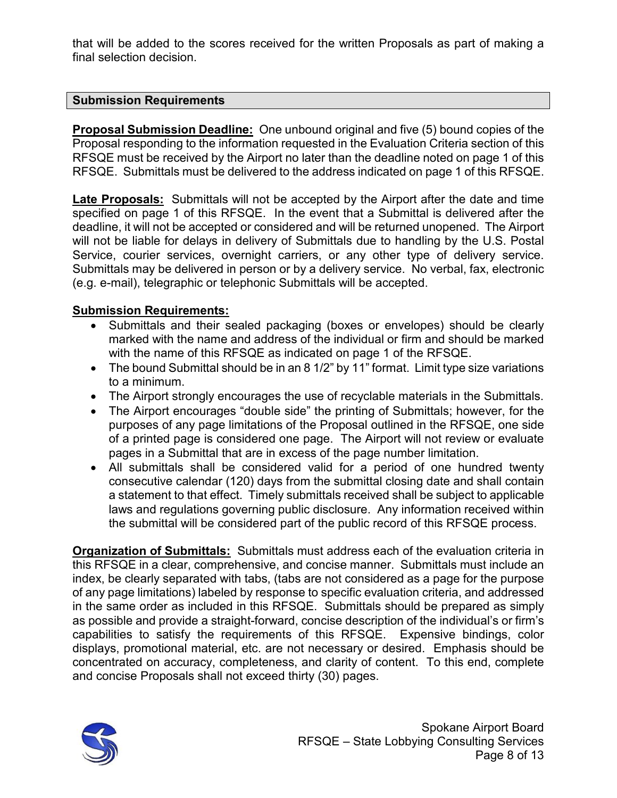that will be added to the scores received for the written Proposals as part of making a final selection decision.

#### **Submission Requirements**

**Proposal Submission Deadline:** One unbound original and five (5) bound copies of the Proposal responding to the information requested in the Evaluation Criteria section of this RFSQE must be received by the Airport no later than the deadline noted on page 1 of this RFSQE. Submittals must be delivered to the address indicated on page 1 of this RFSQE.

**Late Proposals:** Submittals will not be accepted by the Airport after the date and time specified on page 1 of this RFSQE. In the event that a Submittal is delivered after the deadline, it will not be accepted or considered and will be returned unopened. The Airport will not be liable for delays in delivery of Submittals due to handling by the U.S. Postal Service, courier services, overnight carriers, or any other type of delivery service. Submittals may be delivered in person or by a delivery service. No verbal, fax, electronic (e.g. e-mail), telegraphic or telephonic Submittals will be accepted.

### **Submission Requirements:**

- Submittals and their sealed packaging (boxes or envelopes) should be clearly marked with the name and address of the individual or firm and should be marked with the name of this RFSQE as indicated on page 1 of the RFSQE.
- The bound Submittal should be in an 8 1/2" by 11" format. Limit type size variations to a minimum.
- The Airport strongly encourages the use of recyclable materials in the Submittals.
- The Airport encourages "double side" the printing of Submittals; however, for the purposes of any page limitations of the Proposal outlined in the RFSQE, one side of a printed page is considered one page. The Airport will not review or evaluate pages in a Submittal that are in excess of the page number limitation.
- All submittals shall be considered valid for a period of one hundred twenty consecutive calendar (120) days from the submittal closing date and shall contain a statement to that effect. Timely submittals received shall be subject to applicable laws and regulations governing public disclosure. Any information received within the submittal will be considered part of the public record of this RFSQE process.

**Organization of Submittals:** Submittals must address each of the evaluation criteria in this RFSQE in a clear, comprehensive, and concise manner. Submittals must include an index, be clearly separated with tabs, (tabs are not considered as a page for the purpose of any page limitations) labeled by response to specific evaluation criteria, and addressed in the same order as included in this RFSQE. Submittals should be prepared as simply as possible and provide a straight-forward, concise description of the individual's or firm's capabilities to satisfy the requirements of this RFSQE. Expensive bindings, color displays, promotional material, etc. are not necessary or desired. Emphasis should be concentrated on accuracy, completeness, and clarity of content. To this end, complete and concise Proposals shall not exceed thirty (30) pages.

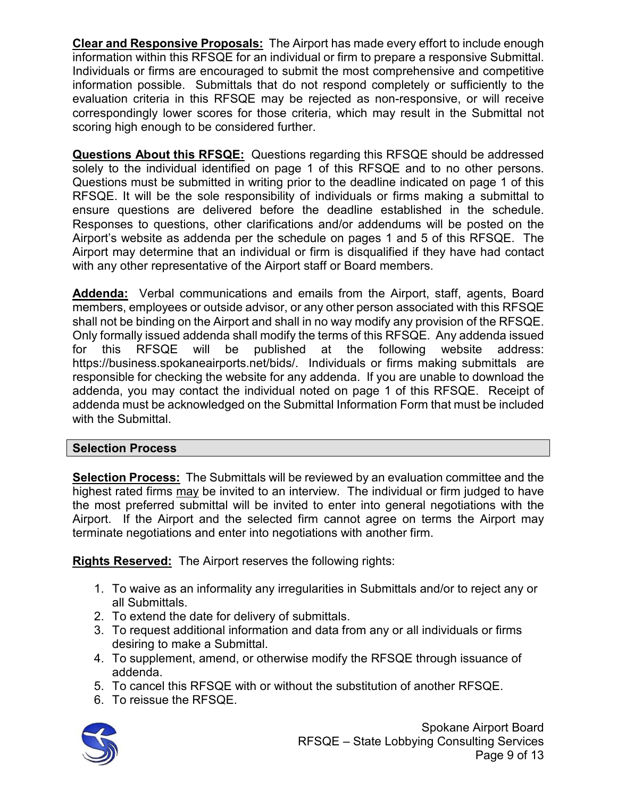**Clear and Responsive Proposals:** The Airport has made every effort to include enough information within this RFSQE for an individual or firm to prepare a responsive Submittal. Individuals or firms are encouraged to submit the most comprehensive and competitive information possible. Submittals that do not respond completely or sufficiently to the evaluation criteria in this RFSQE may be rejected as non-responsive, or will receive correspondingly lower scores for those criteria, which may result in the Submittal not scoring high enough to be considered further.

**Questions About this RFSQE:** Questions regarding this RFSQE should be addressed solely to the individual identified on page 1 of this RFSQE and to no other persons. Questions must be submitted in writing prior to the deadline indicated on page 1 of this RFSQE. It will be the sole responsibility of individuals or firms making a submittal to ensure questions are delivered before the deadline established in the schedule. Responses to questions, other clarifications and/or addendums will be posted on the Airport's website as addenda per the schedule on pages 1 and 5 of this RFSQE. The Airport may determine that an individual or firm is disqualified if they have had contact with any other representative of the Airport staff or Board members.

**Addenda:** Verbal communications and emails from the Airport, staff, agents, Board members, employees or outside advisor, or any other person associated with this RFSQE shall not be binding on the Airport and shall in no way modify any provision of the RFSQE. Only formally issued addenda shall modify the terms of this RFSQE. Any addenda issued for this RFSQE will be published at the following website address: https://business.spokaneairports.net/bids/. Individuals or firms making submittals are responsible for checking the website for any addenda. If you are unable to download the addenda, you may contact the individual noted on page 1 of this RFSQE. Receipt of addenda must be acknowledged on the Submittal Information Form that must be included with the Submittal.

## **Selection Process**

**Selection Process:** The Submittals will be reviewed by an evaluation committee and the highest rated firms may be invited to an interview. The individual or firm judged to have the most preferred submittal will be invited to enter into general negotiations with the Airport. If the Airport and the selected firm cannot agree on terms the Airport may terminate negotiations and enter into negotiations with another firm.

**Rights Reserved:** The Airport reserves the following rights:

- 1. To waive as an informality any irregularities in Submittals and/or to reject any or all Submittals.
- 2. To extend the date for delivery of submittals.
- 3. To request additional information and data from any or all individuals or firms desiring to make a Submittal.
- 4. To supplement, amend, or otherwise modify the RFSQE through issuance of addenda.
- 5. To cancel this RFSQE with or without the substitution of another RFSQE.
- 6. To reissue the RFSQE.



Spokane Airport Board RFSQE – State Lobbying Consulting Services Page 9 of 13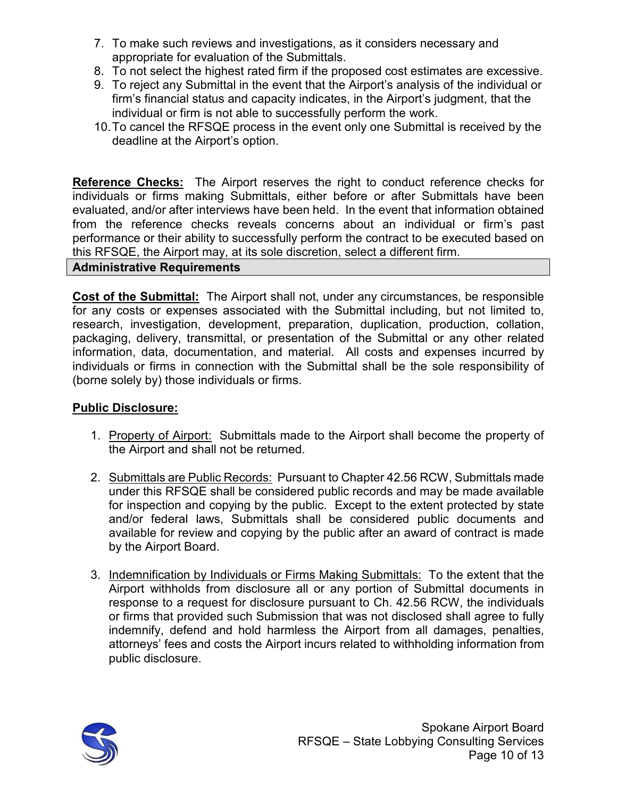- 7. To make such reviews and investigations, as it considers necessary and appropriate for evaluation of the Submittals.
- 8. To not select the highest rated firm if the proposed cost estimates are excessive.
- 9. To reject any Submittal in the event that the Airport's analysis of the individual or firm's financial status and capacity indicates, in the Airport's judgment, that the individual or firm is not able to successfully perform the work.
- 10.To cancel the RFSQE process in the event only one Submittal is received by the deadline at the Airport's option.

**Reference Checks:** The Airport reserves the right to conduct reference checks for individuals or firms making Submittals, either before or after Submittals have been evaluated, and/or after interviews have been held. In the event that information obtained from the reference checks reveals concerns about an individual or firm's past performance or their ability to successfully perform the contract to be executed based on this RFSQE, the Airport may, at its sole discretion, select a different firm.

#### **Administrative Requirements**

**Cost of the Submittal:** The Airport shall not, under any circumstances, be responsible for any costs or expenses associated with the Submittal including, but not limited to, research, investigation, development, preparation, duplication, production, collation, packaging, delivery, transmittal, or presentation of the Submittal or any other related information, data, documentation, and material. All costs and expenses incurred by individuals or firms in connection with the Submittal shall be the sole responsibility of (borne solely by) those individuals or firms.

### **Public Disclosure:**

- 1. Property of Airport: Submittals made to the Airport shall become the property of the Airport and shall not be returned.
- 2. Submittals are Public Records: Pursuant to Chapter 42.56 RCW, Submittals made under this RFSQE shall be considered public records and may be made available for inspection and copying by the public. Except to the extent protected by state and/or federal laws, Submittals shall be considered public documents and available for review and copying by the public after an award of contract is made by the Airport Board.
- 3. Indemnification by Individuals or Firms Making Submittals: To the extent that the Airport withholds from disclosure all or any portion of Submittal documents in response to a request for disclosure pursuant to Ch. 42.56 RCW, the individuals or firms that provided such Submission that was not disclosed shall agree to fully indemnify, defend and hold harmless the Airport from all damages, penalties, attorneys' fees and costs the Airport incurs related to withholding information from public disclosure.

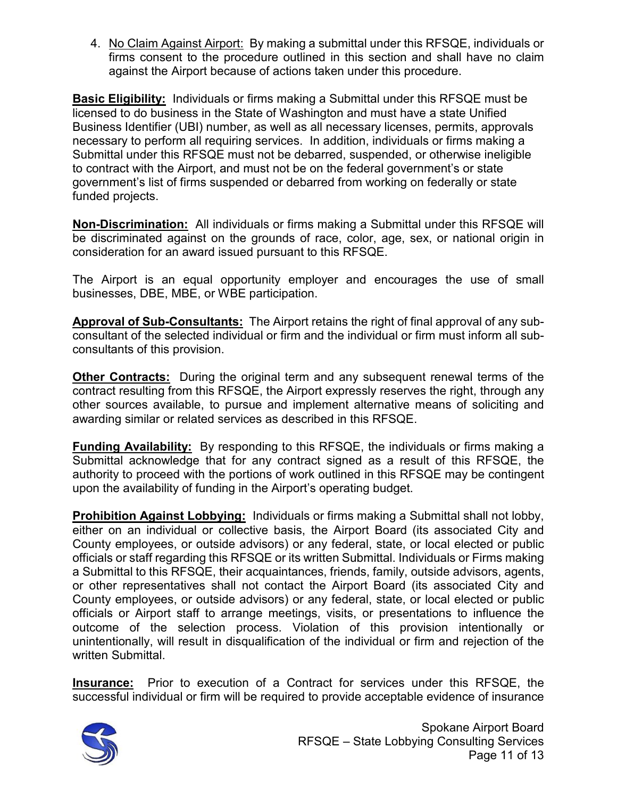4. No Claim Against Airport: By making a submittal under this RFSQE, individuals or firms consent to the procedure outlined in this section and shall have no claim against the Airport because of actions taken under this procedure.

**Basic Eligibility:** Individuals or firms making a Submittal under this RFSQE must be licensed to do business in the State of Washington and must have a state Unified Business Identifier (UBI) number, as well as all necessary licenses, permits, approvals necessary to perform all requiring services. In addition, individuals or firms making a Submittal under this RFSQE must not be debarred, suspended, or otherwise ineligible to contract with the Airport, and must not be on the federal government's or state government's list of firms suspended or debarred from working on federally or state funded projects.

**Non-Discrimination:** All individuals or firms making a Submittal under this RFSQE will be discriminated against on the grounds of race, color, age, sex, or national origin in consideration for an award issued pursuant to this RFSQE.

The Airport is an equal opportunity employer and encourages the use of small businesses, DBE, MBE, or WBE participation.

**Approval of Sub-Consultants:** The Airport retains the right of final approval of any subconsultant of the selected individual or firm and the individual or firm must inform all subconsultants of this provision.

**Other Contracts:** During the original term and any subsequent renewal terms of the contract resulting from this RFSQE, the Airport expressly reserves the right, through any other sources available, to pursue and implement alternative means of soliciting and awarding similar or related services as described in this RFSQE.

**Funding Availability:** By responding to this RFSQE, the individuals or firms making a Submittal acknowledge that for any contract signed as a result of this RFSQE, the authority to proceed with the portions of work outlined in this RFSQE may be contingent upon the availability of funding in the Airport's operating budget.

**Prohibition Against Lobbying:** Individuals or firms making a Submittal shall not lobby, either on an individual or collective basis, the Airport Board (its associated City and County employees, or outside advisors) or any federal, state, or local elected or public officials or staff regarding this RFSQE or its written Submittal. Individuals or Firms making a Submittal to this RFSQE, their acquaintances, friends, family, outside advisors, agents, or other representatives shall not contact the Airport Board (its associated City and County employees, or outside advisors) or any federal, state, or local elected or public officials or Airport staff to arrange meetings, visits, or presentations to influence the outcome of the selection process. Violation of this provision intentionally or unintentionally, will result in disqualification of the individual or firm and rejection of the written Submittal.

**Insurance:** Prior to execution of a Contract for services under this RFSQE, the successful individual or firm will be required to provide acceptable evidence of insurance



Spokane Airport Board RFSQE – State Lobbying Consulting Services Page 11 of 13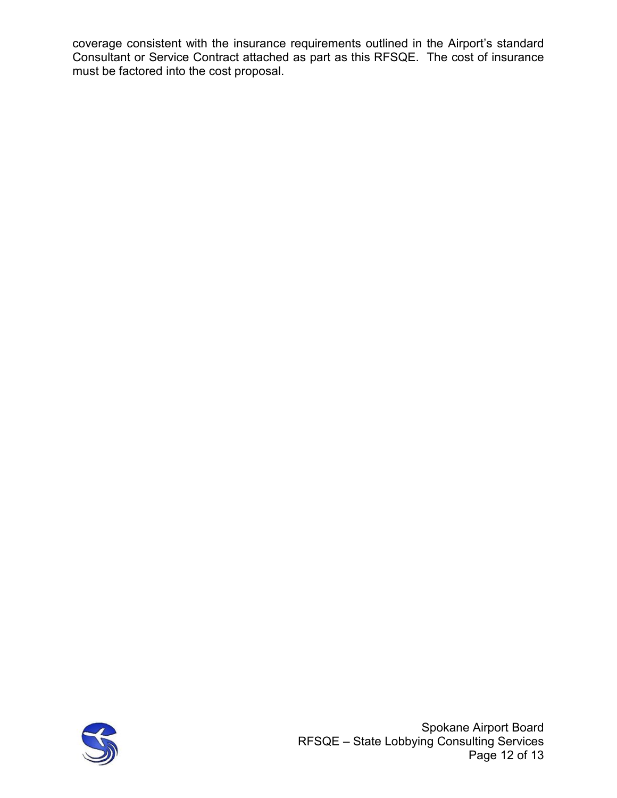coverage consistent with the insurance requirements outlined in the Airport's standard Consultant or Service Contract attached as part as this RFSQE. The cost of insurance must be factored into the cost proposal.